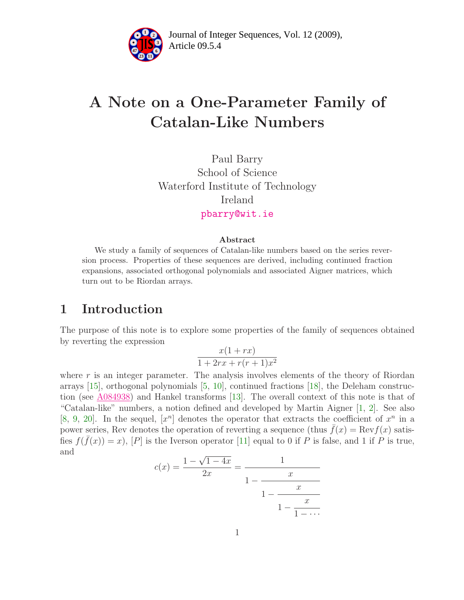

# A Note on a One-Parameter Family of Catalan-Like Numbers

Paul Barry School of Science Waterford Institute of Technology Ireland [pbarry@wit.ie](mailto:pbarry@wit.ie)

#### Abstract

We study a family of sequences of Catalan-like numbers based on the series reversion process. Properties of these sequences are derived, including continued fraction expansions, associated orthogonal polynomials and associated Aigner matrices, which turn out to be Riordan arrays.

### 1 Introduction

The purpose of this note is to explore some properties of the family of sequences obtained by reverting the expression

$$
\frac{x(1+rx)}{1+2rx+r(r+1)x^2}
$$

where  $r$  is an integer parameter. The analysis involves elements of the theory of Riordan arrays [\[15\]](#page-10-0), orthogonal polynomials [\[5,](#page-10-1) [10\]](#page-10-2), continued fractions [\[18\]](#page-11-0), the Deleham construction (see [A084938\)](http://www.research.att.com/cgi-bin/access.cgi/as/~njas/sequences/eisA.cgi?Anum=A084938) and Hankel transforms [\[13\]](#page-10-3). The overall context of this note is that of "Catalan-like" numbers, a notion defined and developed by Martin Aigner [\[1,](#page-10-4) [2\]](#page-10-5). See also [\[8,](#page-10-6) [9,](#page-10-7) [20\]](#page-11-1). In the sequel,  $[x^n]$  denotes the operator that extracts the coefficient of  $x^n$  in a power series, Rev denotes the operation of reverting a sequence (thus  $f(x) = \text{Rev } f(x)$  satisfies  $f(\bar{f}(x)) = x$ ,  $[P]$  is the Iverson operator [\[11\]](#page-10-8) equal to 0 if P is false, and 1 if P is true, and

$$
c(x) = \frac{1 - \sqrt{1 - 4x}}{2x} = \frac{1}{1 - \frac{x}{1 - \frac{x}{1 - \frac{x}{1 - \dots}}}}
$$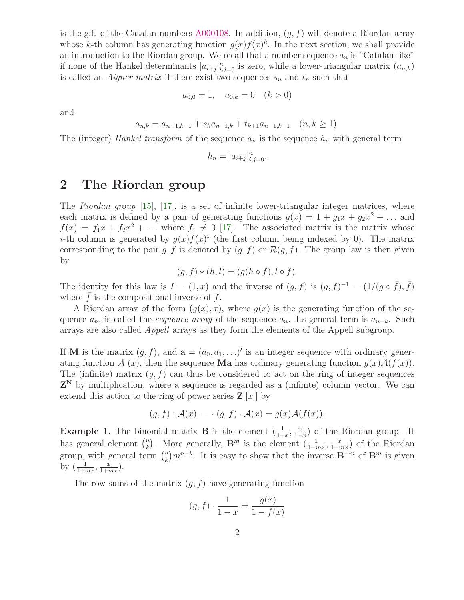is the g.f. of the Catalan numbers  $A000108$ . In addition,  $(g, f)$  will denote a Riordan array whose k-th column has generating function  $g(x)f(x)^k$ . In the next section, we shall provide an introduction to the Riordan group. We recall that a number sequence  $a_n$  is "Catalan-like" if none of the Hankel determinants  $|a_{i+j}|_{i,j=0}^n$  is zero, while a lower-triangular matrix  $(a_{n,k})$ is called an *Aigner matrix* if there exist two sequences  $s_n$  and  $t_n$  such that

$$
a_{0,0} = 1, \quad a_{0,k} = 0 \quad (k > 0)
$$

and

$$
a_{n,k} = a_{n-1,k-1} + s_k a_{n-1,k} + t_{k+1} a_{n-1,k+1} \quad (n,k \ge 1).
$$

The (integer) Hankel transform of the sequence  $a_n$  is the sequence  $h_n$  with general term

$$
h_n = |a_{i+j}|_{i,j=0}^n.
$$

### 2 The Riordan group

The Riordan group [\[15\]](#page-10-0), [\[17\]](#page-11-2), is a set of infinite lower-triangular integer matrices, where each matrix is defined by a pair of generating functions  $g(x) = 1 + g_1 x + g_2 x^2 + \dots$  and  $f(x) = f_1x + f_2x^2 + \dots$  where  $f_1 \neq 0$  [\[17\]](#page-11-2). The associated matrix is the matrix whose *i*-th column is generated by  $g(x)f(x)^i$  (the first column being indexed by 0). The matrix corresponding to the pair g, f is denoted by  $(g, f)$  or  $\mathcal{R}(g, f)$ . The group law is then given by

$$
(g, f) * (h, l) = (g(h \circ f), l \circ f).
$$

The identity for this law is  $I = (1, x)$  and the inverse of  $(g, f)$  is  $(g, f)^{-1} = (1/(g \circ \bar{f}), \bar{f})$ where  $f$  is the compositional inverse of  $f$ .

A Riordan array of the form  $(g(x), x)$ , where  $g(x)$  is the generating function of the sequence  $a_n$ , is called the *sequence array* of the sequence  $a_n$ . Its general term is  $a_{n-k}$ . Such arrays are also called Appell arrays as they form the elements of the Appell subgroup.

If **M** is the matrix  $(g, f)$ , and  $\mathbf{a} = (a_0, a_1, \ldots)'$  is an integer sequence with ordinary generating function  $\mathcal{A}(x)$ , then the sequence **Ma** has ordinary generating function  $g(x)\mathcal{A}(f(x))$ . The (infinite) matrix  $(g, f)$  can thus be considered to act on the ring of integer sequences  $Z^N$  by multiplication, where a sequence is regarded as a (infinite) column vector. We can extend this action to the ring of power series  $\mathbf{Z}[[x]]$  by

$$
(g, f) : \mathcal{A}(x) \longrightarrow (g, f) \cdot \mathcal{A}(x) = g(x)\mathcal{A}(f(x)).
$$

**Example 1.** The binomial matrix **B** is the element  $\left(\frac{1}{1-x}, \frac{x}{1-x}\right)$  $\frac{x}{1-x}$  of the Riordan group. It has general element  $\binom{n}{k}$ <sup>n</sup>). More generally,  $\mathbf{B}^m$  is the element  $\left(\frac{1}{1-mx}, \frac{x}{1-r}\right)$  $\frac{x}{1-mx}$  of the Riordan group, with general term  $\binom{n}{k}$  $\binom{n}{k}m^{n-k}$ . It is easy to show that the inverse  $\mathbf{B}^{-m}$  of  $\mathbf{B}^m$  is given by  $\left(\frac{1}{1+mx}, \frac{x}{1+r}\right)$  $\frac{x}{1+mx}$ ).

The row sums of the matrix  $(g, f)$  have generating function

$$
(g, f) \cdot \frac{1}{1 - x} = \frac{g(x)}{1 - f(x)}
$$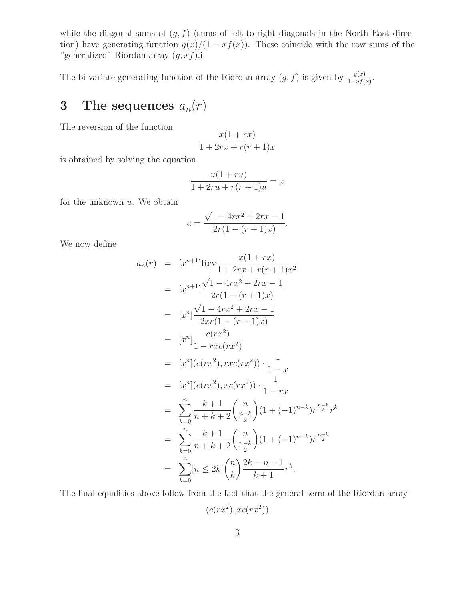while the diagonal sums of  $(g, f)$  (sums of left-to-right diagonals in the North East direction) have generating function  $g(x)/(1 - xf(x))$ . These coincide with the row sums of the "generalized" Riordan array  $(g, xf)$ .i

The bi-variate generating function of the Riordan array  $(g, f)$  is given by  $\frac{g(x)}{1 - yf(x)}$ .

## 3 The sequences  $a_n(r)$

The reversion of the function

$$
\frac{x(1+rx)}{1+2rx+r(r+1)x}
$$

is obtained by solving the equation

$$
\frac{u(1+ru)}{1+2ru+r(r+1)u} = x
$$

for the unknown  $u$ . We obtain

$$
u = \frac{\sqrt{1 - 4rx^2} + 2rx - 1}{2r(1 - (r + 1)x)}.
$$

We now define

$$
a_n(r) = [x^{n+1}] \text{Rev} \frac{x(1+rx)}{1+2rx + r(r+1)x^2}
$$
  
\n
$$
= [x^{n+1}] \frac{\sqrt{1-4rx^2} + 2rx - 1}{2r(1-(r+1)x)}
$$
  
\n
$$
= [x^n] \frac{\sqrt{1-4rx^2} + 2rx - 1}{2xr(1-(r+1)x)}
$$
  
\n
$$
= [x^n] \frac{c(rx^2)}{1-rxc(rx^2)}
$$
  
\n
$$
= [x^n] (c(rx^2), rxc(rx^2)) \cdot \frac{1}{1-x}
$$
  
\n
$$
= [x^n] (c(rx^2), xc(rx^2)) \cdot \frac{1}{1-rx}
$$
  
\n
$$
= \sum_{k=0}^n \frac{k+1}{n+k+2} {n \choose \frac{n-k}{2}} (1+(-1)^{n-k}) r^{\frac{n-k}{2}} r^k
$$
  
\n
$$
= \sum_{k=0}^n \frac{k+1}{n+k+2} {n \choose \frac{n-k}{2}} (1+(-1)^{n-k}) r^{\frac{n+k}{2}}
$$
  
\n
$$
= \sum_{k=0}^n [n \le 2k] {n \choose k} \frac{2k-n+1}{k+1} r^k.
$$

The final equalities above follow from the fact that the general term of the Riordan array

$$
(c(rx^2), xc(rx^2))
$$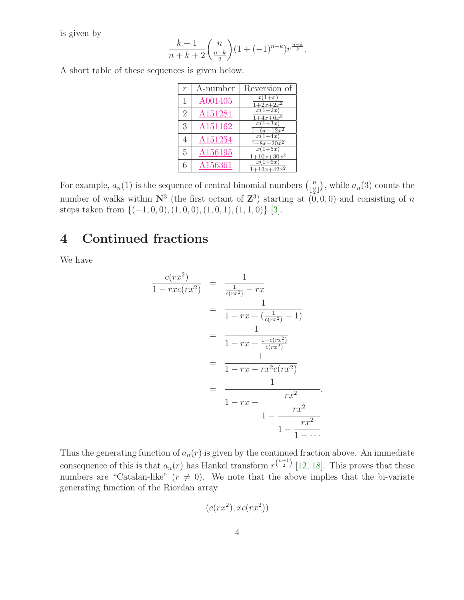is given by

$$
\frac{k+1}{n+k+2} {n \choose \frac{n-k}{2}} (1+(-1)^{n-k}) r^{\frac{n-k}{2}}.
$$

A short table of these sequences is given below.

| $\overline{r}$ | A-number | Reversion of                           |
|----------------|----------|----------------------------------------|
| 1              | A001405  | $x(1+x)$<br>$1+2x+2x^2$                |
| $\overline{2}$ | A151281  | $x(1+2x)$<br>$\frac{1+4x+6x^2}{x}$     |
| 3              | A151162  | $x(1+3x)$<br>$1+6x+12x^2$              |
|                | A151254  | $x(1+4x)$<br>$1+8x+20x^2$              |
| 5              | A156195  | $x(1+5x)$<br>$\frac{1+10x+30x^2}{x^2}$ |
| 6              | A156361  | $x(1+6x)$<br>$+12x+42x^2$              |

For example,  $a_n(1)$  is the sequence of central binomial numbers  $\binom{n}{n}$  $\binom{n}{\lfloor \frac{n}{2} \rfloor}$ , while  $a_n(3)$  counts the number of walks within  $\mathbb{N}^3$  (the first octant of  $\mathbb{Z}^3$ ) starting at  $(0,0,0)$  and consisting of n steps taken from  $\{(-1, 0, 0), (1, 0, 0), (1, 0, 1), (1, 1, 0)\}$  [\[3\]](#page-10-9).

### 4 Continued fractions

We have

$$
\frac{c(rx^2)}{1 - rxc(rx^2)} = \frac{1}{\frac{1}{c(rx^2)} - rx} \n= \frac{1}{1 - rx + (\frac{1}{c(rx^2)} - 1)} \n= \frac{1}{1 - rx + \frac{1 - c(rx^2)}{c(rx^2)} \n= \frac{1}{1 - rx - rx^2c(rx^2)} \n= \frac{1}{1 - rx - \frac{rx^2}{1 - \frac{rx^2}{1 - \frac{rx^2}{1 - \dots}}}}.
$$

.

Thus the generating function of  $a_n(r)$  is given by the continued fraction above. An immediate consequence of this is that  $a_n(r)$  has Hankel transform  $r^{n+1 \choose 2}$  [\[12,](#page-10-10) [18\]](#page-11-0). This proves that these numbers are "Catalan-like"  $(r \neq 0)$ . We note that the above implies that the bi-variate generating function of the Riordan array

$$
(c(rx^2), xc(rx^2))
$$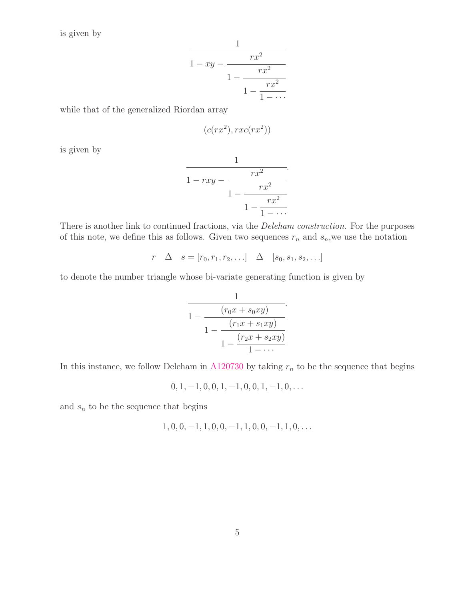is given by

$$
\cfrac{1}{1 - xy - \cfrac{rx^2}{1 - \cfrac{rx^2}{1 - \cfrac{rx^2}{1 - \cdots}}}}
$$

1

while that of the generalized Riordan array

$$
(c(rx^2), rxc(rx^2))
$$

is given by

$$
\cfrac{1}{1 - rxy - \cfrac{rx^2}{1 - \cfrac{rx^2}{1 - \cfrac{rx^2}{1 - \cdots}}}}.
$$

There is another link to continued fractions, via the *Deleham construction*. For the purposes of this note, we define this as follows. Given two sequences  $r_n$  and  $s_n$ , we use the notation

$$
r \quad \Delta \quad s = [r_0, r_1, r_2, \ldots] \quad \Delta \quad [s_0, s_1, s_2, \ldots]
$$

to denote the number triangle whose bi-variate generating function is given by

$$
\cfrac{1}{1 - \cfrac{(r_0x + s_0xy)}{1 - \cfrac{(r_1x + s_1xy)}{1 - \cfrac{(r_2x + s_2xy)}{1 - \cdots}}}}.
$$

In this instance, we follow Deleham in  $\underline{\mbox{A120730}}$  $\underline{\mbox{A120730}}$  $\underline{\mbox{A120730}}$  by taking  $r_n$  to be the sequence that begins

$$
0, 1, -1, 0, 0, 1, -1, 0, 0, 1, -1, 0, \ldots
$$

and  $s_n$  to be the sequence that begins

$$
1, 0, 0, -1, 1, 0, 0, -1, 1, 0, 0, -1, 1, 0, \ldots
$$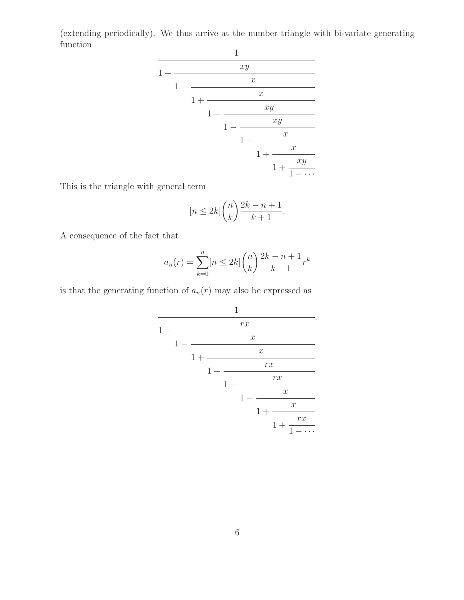(extending periodically). We thus arrive at the number triangle with bi-variate generating function



This is the triangle with general term

$$
[n \le 2k] \binom{n}{k} \frac{2k - n + 1}{k + 1}.
$$

A consequence of the fact that

$$
a_n(r) = \sum_{k=0}^{n} [n \le 2k] \binom{n}{k} \frac{2k - n + 1}{k + 1} r^k
$$

is that the generating function of  $a_n(r)$  may also be expressed as

$$
\cfrac{1}{1-\cfrac{rx}{1-\cfrac{x}{1+\cfrac{x}{1-\cfrac{rx}{1-\cfrac{rx}{1+\cfrac{rx}{1+\cfrac{rx}{1+\cfrac{rx}{1-\cdots}}}}}}}}.
$$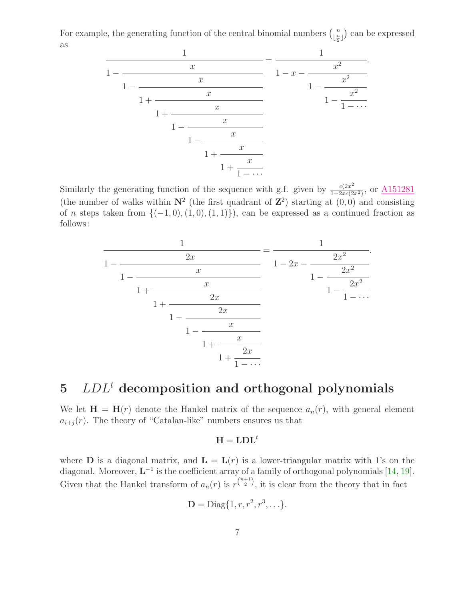For example, the generating function of the central binomial numbers  $\binom{n}{n}$  $\lfloor \frac{n}{2} \rfloor$  can be expressed as



Similarly the generating function of the sequence with g.f. given by  $\frac{c(2x^2)}{1-2xc^2}$  $\frac{c(2x)}{1-2xc(2x^2)}$ , or  $\underline{A151281}$  $\underline{A151281}$  $\underline{A151281}$ (the number of walks within  $N^2$  (the first quadrant of  $\mathbb{Z}^2$ ) starting at  $(0,0)$  and consisting of n steps taken from  $\{(-1, 0), (1, 0), (1, 1)\}\)$ , can be expressed as a continued fraction as follows :



# $5$   $LDL<sup>t</sup>$  decomposition and orthogonal polynomials

We let  $\mathbf{H} = \mathbf{H}(r)$  denote the Hankel matrix of the sequence  $a_n(r)$ , with general element  $a_{i+j}(r)$ . The theory of "Catalan-like" numbers ensures us that

#### $H = LDL^t$

where **D** is a diagonal matrix, and  $\mathbf{L} = \mathbf{L}(r)$  is a lower-triangular matrix with 1's on the diagonal. Moreover,  $L^{-1}$  is the coefficient array of a family of orthogonal polynomials [\[14,](#page-10-11) [19\]](#page-11-3). Given that the Hankel transform of  $a_n(r)$  is  $r^{\binom{n+1}{2}}$ , it is clear from the theory that in fact

$$
\mathbf{D} = \text{Diag}\{1, r, r^2, r^3, \ldots\}.
$$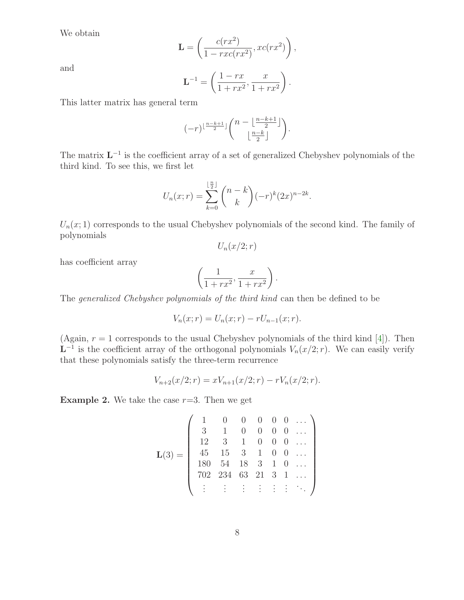We obtain

$$
\mathbf{L} = \left(\frac{c(rx^2)}{1 - rxc(rx^2)}, xc(rx^2)\right),\,
$$

and

$$
\mathbf{L}^{-1} = \left(\frac{1-rx}{1+rx^2}, \frac{x}{1+rx^2}\right).
$$

This latter matrix has general term

$$
(-r)^{\lfloor \frac{n-k+1}{2} \rfloor} \binom{n-\lfloor \frac{n-k+1}{2} \rfloor}{\lfloor \frac{n-k}{2} \rfloor}.
$$

The matrix  $L^{-1}$  is the coefficient array of a set of generalized Chebyshev polynomials of the third kind. To see this, we first let

$$
U_n(x;r) = \sum_{k=0}^{\lfloor \frac{n}{2} \rfloor} \binom{n-k}{k} (-r)^k (2x)^{n-2k}.
$$

 $U_n(x; 1)$  corresponds to the usual Chebyshev polynomials of the second kind. The family of polynomials

 $U_n(x/2;r)$ 

has coefficient array

$$
\left(\frac{1}{1+rx^2}, \frac{x}{1+rx^2}\right).
$$

The generalized Chebyshev polynomials of the third kind can then be defined to be

$$
V_n(x;r) = U_n(x;r) - rU_{n-1}(x;r).
$$

(Again,  $r = 1$  corresponds to the usual Chebyshev polynomials of the third kind [\[4\]](#page-10-12)). Then  $L^{-1}$  is the coefficient array of the orthogonal polynomials  $V_n(x/2; r)$ . We can easily verify that these polynomials satisfy the three-term recurrence

$$
V_{n+2}(x/2; r) = xV_{n+1}(x/2; r) - rV_n(x/2; r).
$$

**Example 2.** We take the case  $r=3$ . Then we get

$$
\mathbf{L}(3) = \left( \begin{array}{cccccc} 1 & 0 & 0 & 0 & 0 & 0 & \dots \\ 3 & 1 & 0 & 0 & 0 & 0 & \dots \\ 12 & 3 & 1 & 0 & 0 & 0 & \dots \\ 45 & 15 & 3 & 1 & 0 & 0 & \dots \\ 180 & 54 & 18 & 3 & 1 & 0 & \dots \\ 702 & 234 & 63 & 21 & 3 & 1 & \dots \\ \vdots & \vdots & \vdots & \vdots & \vdots & \vdots & \ddots \end{array} \right)
$$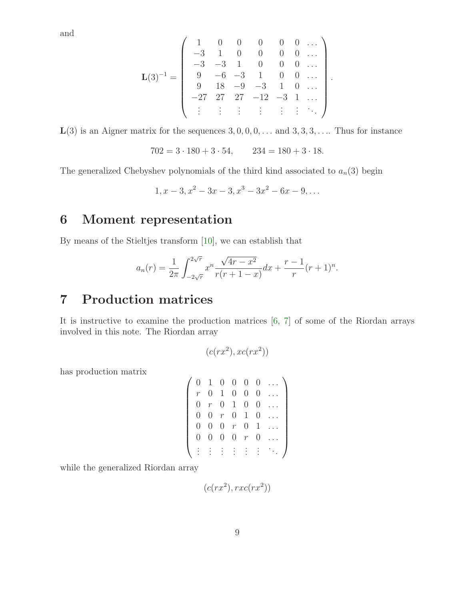and

$$
\mathbf{L}(3)^{-1} = \left( \begin{array}{cccccc} 1 & 0 & 0 & 0 & 0 & 0 & \dots \\ -3 & 1 & 0 & 0 & 0 & 0 & \dots \\ -3 & -3 & 1 & 0 & 0 & 0 & \dots \\ 9 & -6 & -3 & 1 & 0 & 0 & \dots \\ 9 & 18 & -9 & -3 & 1 & 0 & \dots \\ -27 & 27 & 27 & -12 & -3 & 1 & \dots \\ \vdots & \vdots & \vdots & \vdots & \vdots & \vdots & \ddots \end{array} \right).
$$

 $L(3)$  is an Aigner matrix for the sequences  $3, 0, 0, 0, \ldots$  and  $3, 3, 3, \ldots$ . Thus for instance

$$
702 = 3 \cdot 180 + 3 \cdot 54, \qquad 234 = 180 + 3 \cdot 18.
$$

The generalized Chebyshev polynomials of the third kind associated to  $a_n(3)$  begin

$$
1, x-3, x^2-3x-3, x^3-3x^2-6x-9, \dots
$$

### 6 Moment representation

By means of the Stieltjes transform [\[10\]](#page-10-2), we can establish that

$$
a_n(r) = \frac{1}{2\pi} \int_{-2\sqrt{r}}^{2\sqrt{r}} x^n \frac{\sqrt{4r - x^2}}{r(r + 1 - x)} dx + \frac{r - 1}{r} (r + 1)^n.
$$

### 7 Production matrices

It is instructive to examine the production matrices  $[6, 7]$  $[6, 7]$  of some of the Riordan arrays involved in this note. The Riordan array

$$
(c(rx^2), xc(rx^2))
$$

has production matrix

$$
\left(\begin{array}{cccccc} 0 & 1 & 0 & 0 & 0 & 0 & \dots \\ r & 0 & 1 & 0 & 0 & 0 & \dots \\ 0 & r & 0 & 1 & 0 & 0 & \dots \\ 0 & 0 & r & 0 & 1 & 0 & \dots \\ 0 & 0 & 0 & r & 0 & 1 & \dots \\ 0 & 0 & 0 & 0 & r & 0 & \dots \\ \vdots & \vdots & \vdots & \vdots & \vdots & \vdots & \ddots \end{array}\right)
$$

while the generalized Riordan array

$$
(c(rx^2), rxc(rx^2))
$$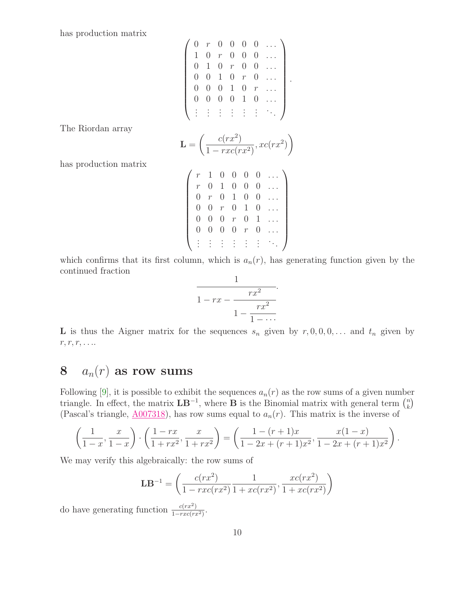has production matrix

$$
\left(\n\begin{array}{cccccc}\n0 & r & 0 & 0 & 0 & 0 & \dots \\
1 & 0 & r & 0 & 0 & 0 & \dots \\
0 & 1 & 0 & r & 0 & 0 & \dots \\
0 & 0 & 1 & 0 & r & 0 & \dots \\
0 & 0 & 0 & 1 & 0 & r & \dots \\
0 & 0 & 0 & 0 & 1 & 0 & \dots \\
\vdots & \vdots & \vdots & \vdots & \vdots & \vdots & \ddots\n\end{array}\n\right)
$$

.

The Riordan array

$$
\mathbf{L} = \left(\frac{c(rx^2)}{1 - rxc(rx^2)}, xc(rx^2)\right)
$$

has production matrix

| $\boldsymbol{r}$ | 1                | 0            | 0                                 | 0             | $\theta$         |  |
|------------------|------------------|--------------|-----------------------------------|---------------|------------------|--|
| $\boldsymbol{r}$ | $\theta$         | $\mathbf{1}$ | $\hspace{.08cm} 0 \hspace{.08cm}$ | 0             | $\left( \right)$ |  |
| $\left( \right)$ | $\mathcal{r}$    | U            | 1                                 | 0             | $\left( \right)$ |  |
| $\left( \right)$ | $\theta$         | $\,r$        | 0                                 | $\mathbf{1}$  | 0                |  |
| 0                | $\theta$         | O            | $\,r$                             | 0             |                  |  |
| $\left( \right)$ | $\left( \right)$ | 0            | 0                                 | $\mathcal{r}$ | 0                |  |
|                  |                  |              |                                   |               |                  |  |

which confirms that its first column, which is  $a_n(r)$ , has generating function given by the continued fraction

$$
\cfrac{1}{1-rx-\cfrac{rx^2}{1-\cfrac{rx^2}{1-\cdots}}}.
$$

**L** is thus the Aigner matrix for the sequences  $s_n$  given by  $r, 0, 0, 0, \ldots$  and  $t_n$  given by  $r, r, r, \ldots$ 

## 8  $a_n(r)$  as row sums

Following [\[9\]](#page-10-7), it is possible to exhibit the sequences  $a_n(r)$  as the row sums of a given number triangle. In effect, the matrix  $\mathbf{LB}^{-1}$ , where **B** is the Binomial matrix with general term  $\binom{n}{k}$  $\binom{n}{k}$ (Pascal's triangle,  $\underline{A007318}$ ), has row sums equal to  $a_n(r)$ . This matrix is the inverse of

$$
\left(\frac{1}{1-x}, \frac{x}{1-x}\right) \cdot \left(\frac{1-rx}{1+rx^2}, \frac{x}{1+rx^2}\right) = \left(\frac{1-(r+1)x}{1-2x+(r+1)x^2}, \frac{x(1-x)}{1-2x+(r+1)x^2}\right).
$$

We may verify this algebraically: the row sums of

$$
LB^{-1} = \left(\frac{c(rx^2)}{1 - rxc(rx^2)} \frac{1}{1 + xc(rx^2)}, \frac{xc(rx^2)}{1 + xc(rx^2)}\right)
$$

do have generating function  $\frac{c(rx^2)}{1 - rcc(rx)}$  $\frac{c(rx)}{1-rxc(rx^2)}$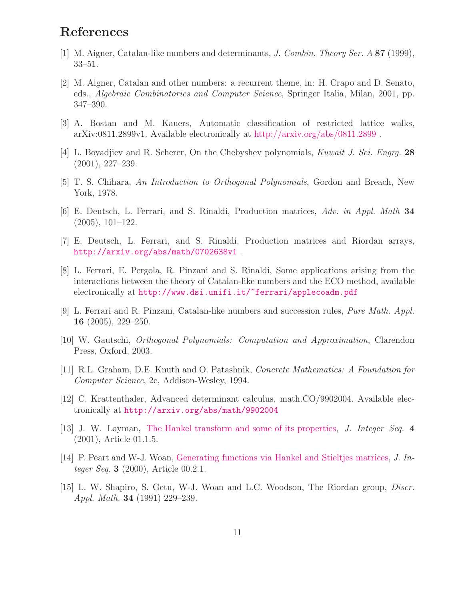### <span id="page-10-4"></span>References

- <span id="page-10-5"></span>[1] M. Aigner, Catalan-like numbers and determinants, J. Combin. Theory Ser. A 87 (1999), 33–51.
- [2] M. Aigner, Catalan and other numbers: a recurrent theme, in: H. Crapo and D. Senato, eds., Algebraic Combinatorics and Computer Science, Springer Italia, Milan, 2001, pp. 347–390.
- <span id="page-10-12"></span><span id="page-10-9"></span>[3] A. Bostan and M. Kauers, Automatic classification of restricted lattice walks, arXiv:0811.2899v1. Available electronically at <http://arxiv.org/abs/0811.2899> .
- <span id="page-10-1"></span>[4] L. Boyadjiev and R. Scherer, On the Chebyshev polynomials, Kuwait J. Sci. Engrg. 28 (2001), 227–239.
- <span id="page-10-13"></span>[5] T. S. Chihara, An Introduction to Orthogonal Polynomials, Gordon and Breach, New York, 1978.
- <span id="page-10-14"></span>[6] E. Deutsch, L. Ferrari, and S. Rinaldi, Production matrices, Adv. in Appl. Math 34 (2005), 101–122.
- <span id="page-10-6"></span>[7] E. Deutsch, L. Ferrari, and S. Rinaldi, Production matrices and Riordan arrays, <http://arxiv.org/abs/math/0702638v1> .
- [8] L. Ferrari, E. Pergola, R. Pinzani and S. Rinaldi, Some applications arising from the interactions between the theory of Catalan-like numbers and the ECO method, available electronically at <http://www.dsi.unifi.it/~ferrari/applecoadm.pdf>
- <span id="page-10-7"></span><span id="page-10-2"></span>[9] L. Ferrari and R. Pinzani, Catalan-like numbers and succession rules, *Pure Math. Appl.* 16 (2005), 229–250.
- <span id="page-10-8"></span>[10] W. Gautschi, Orthogonal Polynomials: Computation and Approximation, Clarendon Press, Oxford, 2003.
- <span id="page-10-10"></span>[11] R.L. Graham, D.E. Knuth and O. Patashnik, Concrete Mathematics: A Foundation for Computer Science, 2e, Addison-Wesley, 1994.
- [12] C. Krattenthaler, Advanced determinant calculus, math.CO/9902004. Available electronically at <http://arxiv.org/abs/math/9902004>
- <span id="page-10-3"></span>[13] J. W. Layman, [The Hankel transform and some of its properties,](http://www.cs.uwaterloo.ca/journals/JIS/VOL4/LAYMAN/hankel.html) J. Integer Seq. 4 (2001), Article 01.1.5.
- <span id="page-10-11"></span>[14] P. Peart and W-J. Woan, [Generating functions via Hankel and Stieltjes matrices,](http://www.cs.uwaterloo.ca/journals/JIS/VOL3/PEART/peart1.html) J. Integer Seq. 3 (2000), Article 00.2.1.
- <span id="page-10-0"></span>[15] L. W. Shapiro, S. Getu, W-J. Woan and L.C. Woodson, The Riordan group, Discr. Appl. Math. 34 (1991) 229–239.